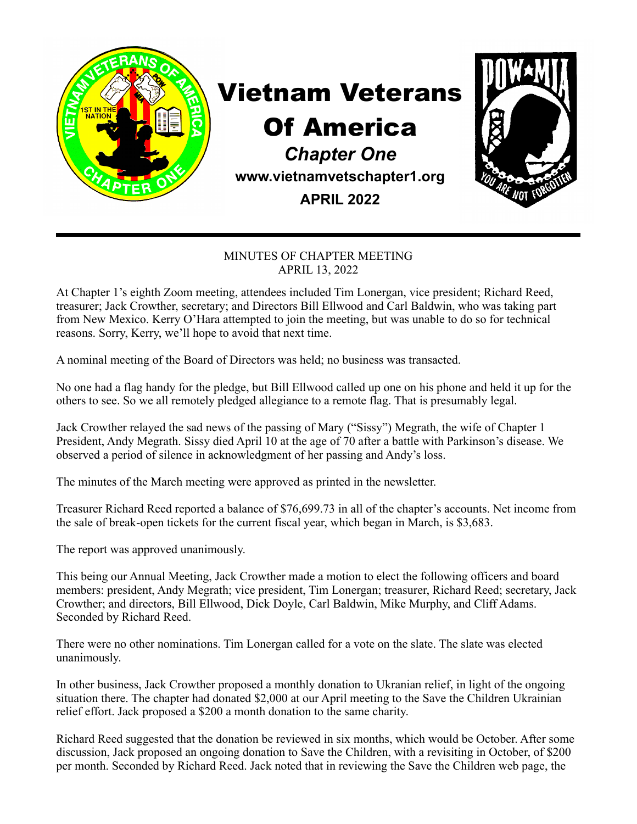

## Vietnam Veterans

## Of America

*Chapter One*  **www.vietnamvetschapter1.org** 

**APRIL 2022**



## MINUTES OF CHAPTER MEETING APRIL 13, 2022

At Chapter 1's eighth Zoom meeting, attendees included Tim Lonergan, vice president; Richard Reed, treasurer; Jack Crowther, secretary; and Directors Bill Ellwood and Carl Baldwin, who was taking part from New Mexico. Kerry O'Hara attempted to join the meeting, but was unable to do so for technical reasons. Sorry, Kerry, we'll hope to avoid that next time.

A nominal meeting of the Board of Directors was held; no business was transacted.

No one had a flag handy for the pledge, but Bill Ellwood called up one on his phone and held it up for the others to see. So we all remotely pledged allegiance to a remote flag. That is presumably legal.

Jack Crowther relayed the sad news of the passing of Mary ("Sissy") Megrath, the wife of Chapter 1 President, Andy Megrath. Sissy died April 10 at the age of 70 after a battle with Parkinson's disease. We observed a period of silence in acknowledgment of her passing and Andy's loss.

The minutes of the March meeting were approved as printed in the newsletter.

Treasurer Richard Reed reported a balance of \$76,699.73 in all of the chapter's accounts. Net income from the sale of break-open tickets for the current fiscal year, which began in March, is \$3,683.

The report was approved unanimously.

This being our Annual Meeting, Jack Crowther made a motion to elect the following officers and board members: president, Andy Megrath; vice president, Tim Lonergan; treasurer, Richard Reed; secretary, Jack Crowther; and directors, Bill Ellwood, Dick Doyle, Carl Baldwin, Mike Murphy, and Cliff Adams. Seconded by Richard Reed.

There were no other nominations. Tim Lonergan called for a vote on the slate. The slate was elected unanimously.

In other business, Jack Crowther proposed a monthly donation to Ukranian relief, in light of the ongoing situation there. The chapter had donated \$2,000 at our April meeting to the Save the Children Ukrainian relief effort. Jack proposed a \$200 a month donation to the same charity.

Richard Reed suggested that the donation be reviewed in six months, which would be October. After some discussion, Jack proposed an ongoing donation to Save the Children, with a revisiting in October, of \$200 per month. Seconded by Richard Reed. Jack noted that in reviewing the Save the Children web page, the